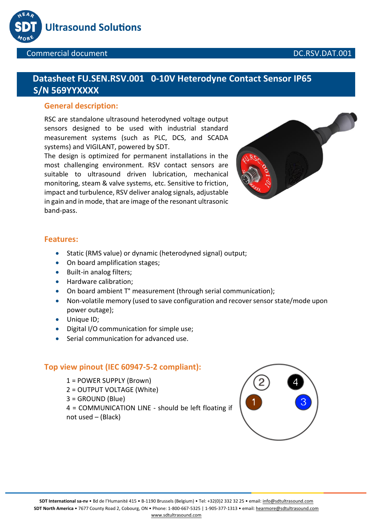

# **Datasheet FU.SEN.RSV.001 0-10V Heterodyne Contact Sensor IP65 S/N 569YYXXXX**

### **General description:**

RSC are standalone ultrasound heterodyned voltage output sensors designed to be used with industrial standard measurement systems (such as PLC, DCS, and SCADA systems) and VIGILANT, powered by SDT.

The design is optimized for permanent installations in the most challenging environment. RSV contact sensors are suitable to ultrasound driven lubrication, mechanical monitoring, steam & valve systems, etc. Sensitive to friction, impact and turbulence, RSV deliver analog signals, adjustable in gain and in mode, that are image of the resonant ultrasonic band-pass.



### **Features:**

- Static (RMS value) or dynamic (heterodyned signal) output;
- On board amplification stages;
- Built-in analog filters;
- Hardware calibration:
- On board ambient T° measurement (through serial communication);
- Non-volatile memory (used to save configuration and recover sensor state/mode upon power outage);
- Unique ID;
- Digital I/O communication for simple use;
- Serial communication for advanced use.

### **Top view pinout (IEC 60947-5-2 compliant):**

1 = POWER SUPPLY (Brown) 2 = OUTPUT VOLTAGE (White) 3 = GROUND (Blue) 4 = COMMUNICATION LINE - should be left floating if not used – (Black)

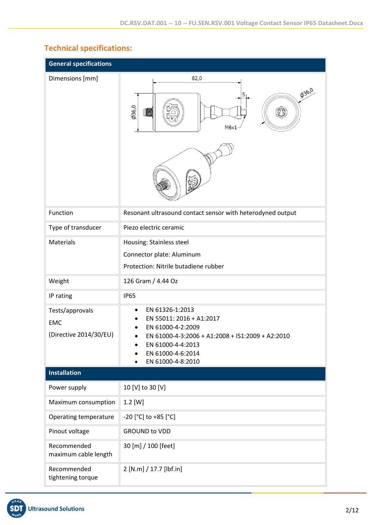# **Technical specifications:**

| <b>General specifications</b>                           |                                                                                                                                                                                                  |
|---------------------------------------------------------|--------------------------------------------------------------------------------------------------------------------------------------------------------------------------------------------------|
| Dimensions [mm]                                         | 82,0                                                                                                                                                                                             |
|                                                         | <b>036,0</b><br>5<br>0.966<br>$\begin{pmatrix} 0 & 0 \\ 0 & 0 \end{pmatrix}$<br>IMA<br>M6x1                                                                                                      |
|                                                         |                                                                                                                                                                                                  |
| Function                                                | Resonant ultrasound contact sensor with heterodyned output                                                                                                                                       |
| Type of transducer                                      | Piezo electric ceramic                                                                                                                                                                           |
| Materials                                               | Housing: Stainless steel                                                                                                                                                                         |
|                                                         | Connector plate: Aluminum                                                                                                                                                                        |
|                                                         | Protection: Nitrile butadiene rubber                                                                                                                                                             |
| Weight                                                  | 126 Gram / 4.44 Oz                                                                                                                                                                               |
| IP rating                                               | <b>IP65</b>                                                                                                                                                                                      |
| Tests/approvals<br><b>EMC</b><br>(Directive 2014/30/EU) | EN 61326-1:2013<br>EN 55011: 2016 + A1:2017<br>EN 61000-4-2:2009<br>EN 61000-4-3:2006 + A1:2008 + IS1:2009 + A2:2010<br>EN 61000-4-4:2013<br>EN 61000-4-6:2014<br>EN 61000-4-8:2010<br>$\bullet$ |
| <b>Installation</b>                                     |                                                                                                                                                                                                  |
| Power supply                                            | 10 [V] to 30 [V]                                                                                                                                                                                 |
| Maximum consumption                                     | $1.2$ [W]                                                                                                                                                                                        |
| Operating temperature                                   | -20 [°C] to +85 [°C]                                                                                                                                                                             |
| Pinout voltage                                          | <b>GROUND to VDD</b>                                                                                                                                                                             |
| Recommended<br>maximum cable length                     | 30 [m] / 100 [feet]                                                                                                                                                                              |
| Recommended<br>tightening torque                        | 2 [N.m] / 17.7 [lbf.in]                                                                                                                                                                          |

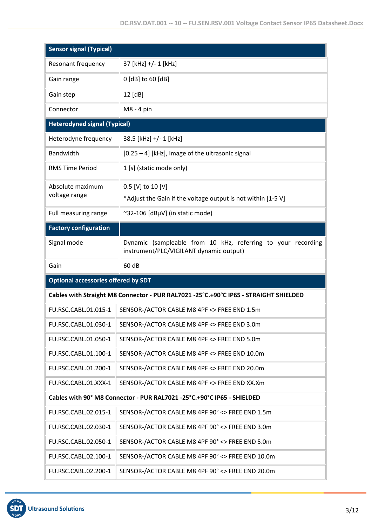| <b>Sensor signal (Typical)</b>             |                                                                                                         |
|--------------------------------------------|---------------------------------------------------------------------------------------------------------|
| <b>Resonant frequency</b>                  | 37 [kHz] +/- 1 [kHz]                                                                                    |
| Gain range                                 | 0 [dB] to 60 [dB]                                                                                       |
| Gain step                                  | 12 [dB]                                                                                                 |
| Connector                                  | M8 - 4 pin                                                                                              |
| <b>Heterodyned signal (Typical)</b>        |                                                                                                         |
| Heterodyne frequency                       | 38.5 [kHz] +/- 1 [kHz]                                                                                  |
| Bandwidth                                  | [0.25 - 4] [kHz], image of the ultrasonic signal                                                        |
| <b>RMS Time Period</b>                     | 1 [s] (static mode only)                                                                                |
| Absolute maximum                           | 0.5 [V] to 10 [V]                                                                                       |
| voltage range                              | *Adjust the Gain if the voltage output is not within [1-5 V]                                            |
| Full measuring range                       | ~32-106 [dBµV] (in static mode)                                                                         |
| <b>Factory configuration</b>               |                                                                                                         |
| Signal mode                                | Dynamic (sampleable from 10 kHz, referring to your recording<br>instrument/PLC/VIGILANT dynamic output) |
|                                            |                                                                                                         |
| Gain                                       | 60 dB                                                                                                   |
| <b>Optional accessories offered by SDT</b> |                                                                                                         |
|                                            | Cables with Straight M8 Connector - PUR RAL7021 -25°C.+90°C IP65 - STRAIGHT SHIELDED                    |
| FU.RSC.CABL.01.015-1                       | SENSOR-/ACTOR CABLE M8 4PF <> FREE END 1.5m                                                             |
| FU.RSC.CABL.01.030-1                       | SENSOR-/ACTOR CABLE M8 4PF <> FREE END 3.0m                                                             |
| FU.RSC.CABL.01.050-1                       | SENSOR-/ACTOR CABLE M8 4PF <> FREE END 5.0m                                                             |
| FU.RSC.CABL.01.100-1                       | SENSOR-/ACTOR CABLE M8 4PF <> FREE END 10.0m                                                            |
| FU.RSC.CABL.01.200-1                       | SENSOR-/ACTOR CABLE M8 4PF <> FREE END 20.0m                                                            |
| FU.RSC.CABL.01.XXX-1                       | SENSOR-/ACTOR CABLE M8 4PF <> FREE END XX.Xm                                                            |
|                                            | Cables with 90° M8 Connector - PUR RAL7021 -25°C.+90°C IP65 - SHIELDED                                  |
| FU.RSC.CABL.02.015-1                       | SENSOR-/ACTOR CABLE M8 4PF 90° <> FREE END 1.5m                                                         |
| FU.RSC.CABL.02.030-1                       | SENSOR-/ACTOR CABLE M8 4PF 90° <> FREE END 3.0m                                                         |
| FU.RSC.CABL.02.050-1                       | SENSOR-/ACTOR CABLE M8 4PF 90° <> FREE END 5.0m                                                         |
| FU.RSC.CABL.02.100-1                       | SENSOR-/ACTOR CABLE M8 4PF 90° <> FREE END 10.0m                                                        |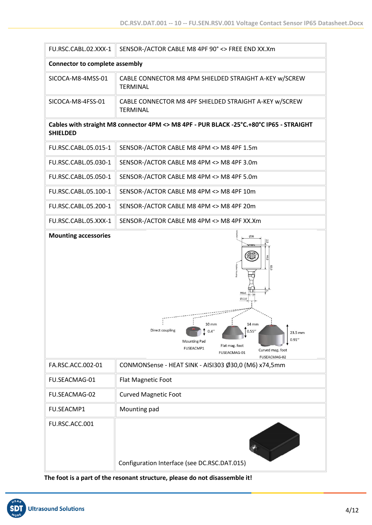| FU.RSC.CABL.02.XXX-1                  | SENSOR-/ACTOR CABLE M8 4PF 90° <> FREE END XX.Xm                                                                                                                                                                   |  |  |  |  |
|---------------------------------------|--------------------------------------------------------------------------------------------------------------------------------------------------------------------------------------------------------------------|--|--|--|--|
| <b>Connector to complete assembly</b> |                                                                                                                                                                                                                    |  |  |  |  |
| SICOCA-M8-4MSS-01                     | CABLE CONNECTOR M8 4PM SHIELDED STRAIGHT A-KEY w/SCREW<br><b>TERMINAL</b>                                                                                                                                          |  |  |  |  |
| SICOCA-M8-4FSS-01                     | CABLE CONNECTOR M8 4PF SHIELDED STRAIGHT A-KEY w/SCREW<br><b>TERMINAL</b>                                                                                                                                          |  |  |  |  |
| <b>SHIELDED</b>                       | Cables with straight M8 connector 4PM <> M8 4PF - PUR BLACK -25°C.+80°C IP65 - STRAIGHT                                                                                                                            |  |  |  |  |
| FU.RSC.CABL.05.015-1                  | SENSOR-/ACTOR CABLE M8 4PM <> M8 4PF 1.5m                                                                                                                                                                          |  |  |  |  |
| FU.RSC.CABL.05.030-1                  | SENSOR-/ACTOR CABLE M8 4PM <> M8 4PF 3.0m                                                                                                                                                                          |  |  |  |  |
| FU.RSC.CABL.05.050-1                  | SENSOR-/ACTOR CABLE M8 4PM <> M8 4PF 5.0m                                                                                                                                                                          |  |  |  |  |
| FU.RSC.CABL.05.100-1                  | SENSOR-/ACTOR CABLE M8 4PM <> M8 4PF 10m                                                                                                                                                                           |  |  |  |  |
| FU.RSC.CABL.05.200-1                  | SENSOR-/ACTOR CABLE M8 4PM <> M8 4PF 20m                                                                                                                                                                           |  |  |  |  |
| FU.RSC.CABL.05.XXX-1                  | SENSOR-/ACTOR CABLE M8 4PM <> M8 4PF XX.Xm                                                                                                                                                                         |  |  |  |  |
|                                       | SD<br>82,0<br>M6x1<br>012,0<br>10 mm<br>14 mm<br>Direct coupling<br>0.4''<br>0.55''<br>23.5 mm<br>0.91''<br><b>Mounting Pad</b><br>Flat mag. foot<br>FUSEACMP1<br>Curved mag. foot<br>FUSEACMAG-01<br>FUSEACMAG-02 |  |  |  |  |
| FA.RSC.ACC.002-01                     | CONMONSense - HEAT SINK - AISI303 Ø30,0 (M6) x74,5mm                                                                                                                                                               |  |  |  |  |
| FU.SEACMAG-01                         | Flat Magnetic Foot                                                                                                                                                                                                 |  |  |  |  |
| FU.SEACMAG-02                         | <b>Curved Magnetic Foot</b>                                                                                                                                                                                        |  |  |  |  |
| <b>FU.SEACMP1</b>                     | Mounting pad                                                                                                                                                                                                       |  |  |  |  |
| FU.RSC.ACC.001                        | Configuration Interface (see DC.RSC.DAT.015)                                                                                                                                                                       |  |  |  |  |

**The foot is a part of the resonant structure, please do not disassemble it!**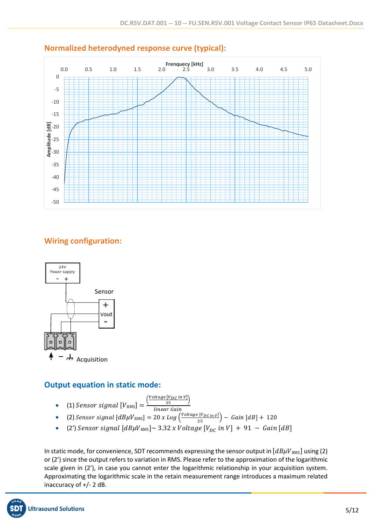

## **Normalized heterodyned response curve (typical):**

# **Wiring configuration:**



### **Output equation in static mode:**

- (1) Sensor signal  $[V_{RMS}] = \frac{1}{2}$  $\frac{\left( \textit{Voltage} \left[ V_{DC} \textit{in } V \right] \right)}{25}$
- linear Gain • (2)  $Sensor$  signal  $[dB\mu V_{RMS}] = 20$  x  $Log\left(\frac{Voltage [V_{DC}]}{25}\right) - Gain\left[dB\right] + 120$
- (2')  $Sensor$  signal  $[dB\mu V_{RMS}] \sim 3.32$  x  $Voltage$   $[V_{DC}$  in  $V] + 91 Gain[dB]$

In static mode, for convenience, SDT recommends expressing the sensor output in  $[dB\mu V_{RMS}]$  using (2) or (2') since the output refers to variation in RMS. Please refer to the approximation of the logarithmic scale given in (2'), in case you cannot enter the logarithmic relationship in your acquisition system. Approximating the logarithmic scale in the retain measurement range introduces a maximum related inaccuracy of +/- 2 dB.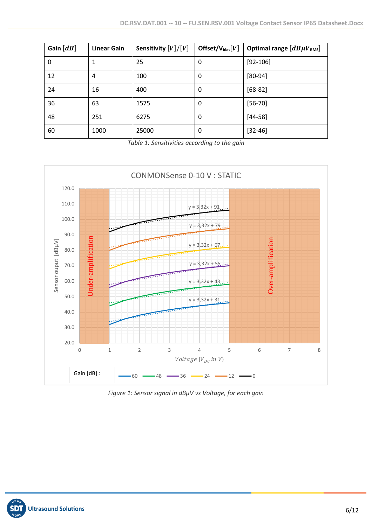| Gain $[dB]$ | <b>Linear Gain</b> | Sensitivity $[V]/[V]$ | Offset/ $V_{bias}[V]$ | Optimal range $[dB\mu V_{RMS}]$ |
|-------------|--------------------|-----------------------|-----------------------|---------------------------------|
| 0           |                    | 25                    | 0                     | $[92 - 106]$                    |
| 12          | 4                  | 100                   | 0                     | $[80-94]$                       |
| 24          | 16                 | 400                   | 0                     | $[68-82]$                       |
| 36          | 63                 | 1575                  | 0                     | $[56 - 70]$                     |
| 48          | 251                | 6275                  | 0                     | $[44-58]$                       |
| 60          | 1000               | 25000                 | 0                     | $[32 - 46]$                     |

*Table 1: Sensitivities according to the gain*



*Figure 1: Sensor signal in dBµV vs Voltage, for each gain*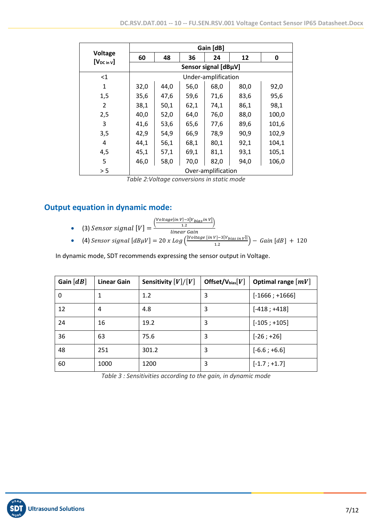|                                   |                      |      |      | Gain [dB]           |      |       |  |
|-----------------------------------|----------------------|------|------|---------------------|------|-------|--|
| <b>Voltage</b><br>$[V_{DC in V}]$ | 60                   | 48   | 36   | 24                  | 12   | 0     |  |
|                                   | Sensor signal [dBµV] |      |      |                     |      |       |  |
| $<$ 1                             |                      |      |      | Under-amplification |      |       |  |
| 1                                 | 32,0                 | 44,0 | 56,0 | 68,0                | 80,0 | 92,0  |  |
| 1,5                               | 35,6                 | 47,6 | 59,6 | 71,6                | 83,6 | 95,6  |  |
| 2                                 | 38,1                 | 50,1 | 62,1 | 74,1                | 86,1 | 98,1  |  |
| 2,5                               | 40,0                 | 52,0 | 64,0 | 76,0                | 88,0 | 100,0 |  |
| 3                                 | 41,6                 | 53,6 | 65,6 | 77,6                | 89,6 | 101,6 |  |
| 3,5                               | 42,9                 | 54,9 | 66,9 | 78,9                | 90,9 | 102,9 |  |
| 4                                 | 44,1                 | 56,1 | 68,1 | 80,1                | 92,1 | 104,1 |  |
| 4,5                               | 45,1                 | 57,1 | 69,1 | 81,1                | 93,1 | 105,1 |  |
| 5                                 | 46,0                 | 58,0 | 70,0 | 82,0                | 94,0 | 106,0 |  |
| > 5                               | Over-amplification   |      |      |                     |      |       |  |

*Table 2:Voltage conversions in static mode*

# **Output equation in dynamic mode:**

$$
\left(\frac{Voltage [in V]-3[V_{bias}in V]}{12}\right)
$$

• (3) *Sensor signal* 
$$
[V] = \frac{1.2}{\text{linear Gain}}
$$

• (4) Sensor signal  $[dB\mu V] = 20$  x Log  $\left(\frac{|Voltage\left[ in \ V\right] - 3[Vbias\left[ in \ V]\right]}{1.3}\right)$  $\left(\frac{V_1 - S_1 V_{bias} \ln |V|}{1.2}\right) - G \text{ain} \left[dB\right] + 120$ 

In dynamic mode, SDT recommends expressing the sensor output in Voltage.

| Gain $\lfloor dB \rfloor$ | <b>Linear Gain</b> | Sensitivity $[V]/[V]$ | Offset/ $V_{bias}[V]$ | Optimal range $\lfloor mV \rfloor$ |
|---------------------------|--------------------|-----------------------|-----------------------|------------------------------------|
| 0                         | 1                  | 1.2                   | 3                     | $[-1666; +1666]$                   |
| 12                        | 4                  | 4.8                   | 3                     | $[-418; +418]$                     |
| 24                        | 16                 | 19.2                  | 3                     | $[-105; +105]$                     |
| 36                        | 63                 | 75.6                  | 3                     | $[-26; +26]$                       |
| 48                        | 251                | 301.2                 | 3                     | $[-6.6; +6.6]$                     |
| 60                        | 1000               | 1200                  | 3                     | $[-1.7; +1.7]$                     |

*Table 3 : Sensitivities according to the gain, in dynamic mode*

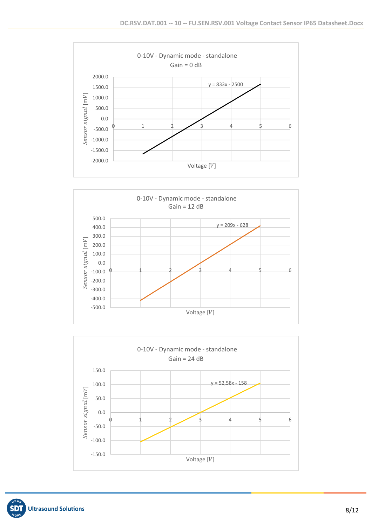



![](_page_7_Figure_3.jpeg)

![](_page_7_Picture_4.jpeg)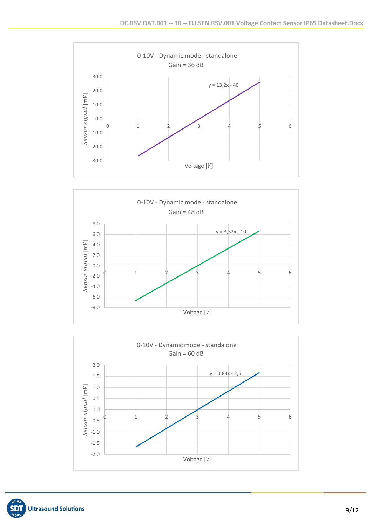![](_page_8_Figure_1.jpeg)

![](_page_8_Figure_2.jpeg)

![](_page_8_Figure_3.jpeg)

![](_page_8_Picture_4.jpeg)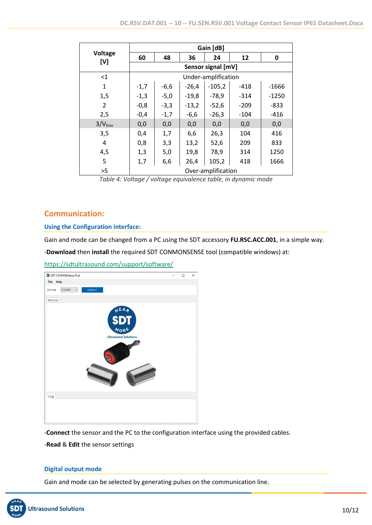|                       |                    |        |         | Gain [dB]           |        |         |
|-----------------------|--------------------|--------|---------|---------------------|--------|---------|
| <b>Voltage</b><br>[V] | 60                 | 48     | 36      | 24                  | 12     | 0       |
|                       | Sensor signal [mV] |        |         |                     |        |         |
| $<$ 1                 |                    |        |         | Under-amplification |        |         |
| $\mathbf{1}$          | $-1,7$             | $-6,6$ | $-26,4$ | $-105,2$            | $-418$ | $-1666$ |
| 1,5                   | $-1,3$             | $-5,0$ | $-19,8$ | $-78,9$             | $-314$ | $-1250$ |
| $\overline{2}$        | $-0,8$             | $-3,3$ | $-13,2$ | $-52,6$             | $-209$ | $-833$  |
| 2,5                   | $-0,4$             | $-1,7$ | $-6,6$  | $-26,3$             | $-104$ | $-416$  |
| 3/V <sub>bias</sub>   | 0,0                | 0,0    | 0,0     | 0,0                 | 0,0    | 0,0     |
| 3,5                   | 0,4                | 1,7    | 6,6     | 26,3                | 104    | 416     |
| 4                     | 0,8                | 3,3    | 13,2    | 52,6                | 209    | 833     |
| 4,5                   | 1,3                | 5,0    | 19,8    | 78,9                | 314    | 1250    |
| 5                     | 1,7                | 6,6    | 26,4    | 105,2               | 418    | 1666    |
| >5                    | Over-amplification |        |         |                     |        |         |

*Table 4: Voltage / voltage equivalence table, in dynamic mode*

### **Communication:**

### **Using the Configuration interface:**

Gain and mode can be changed from a PC using the SDT accessory **FU.RSC.ACC.001**, in a simple way.

-**Download** then **install** the required SDT CONMONSENSE tool (compatible windows) at:

### <https://sdtultrasound.com/support/software/>

![](_page_9_Picture_8.jpeg)

-**Connect** the sensor and the PC to the configuration interface using the provided cables.

-**Read** & **Edit** the sensor settings

### **Digital output mode**

Gain and mode can be selected by generating pulses on the communication line.

![](_page_9_Picture_13.jpeg)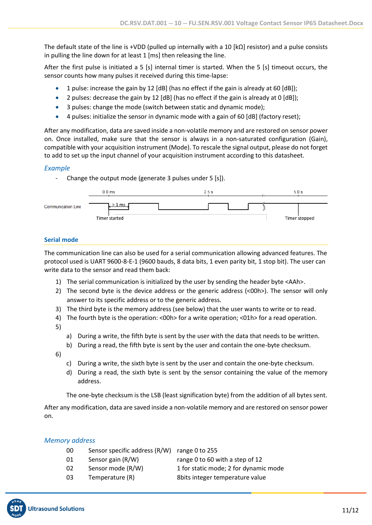The default state of the line is +VDD (pulled up internally with a 10  $\kappa$ Q resistor) and a pulse consists in pulling the line down for at least 1 [ms] then releasing the line.

After the first pulse is initiated a 5 [s] internal timer is started. When the 5 [s] timeout occurs, the sensor counts how many pulses it received during this time-lapse:

- 1 pulse: increase the gain by 12 [dB] (has no effect if the gain is already at 60 [dB]);
- 2 pulses: decrease the gain by 12 [dB] (has no effect if the gain is already at 0 [dB]);
- 3 pulses: change the mode (switch between static and dynamic mode);
- 4 pulses: initialize the sensor in dynamic mode with a gain of 60 [dB] (factory reset);

After any modification, data are saved inside a non-volatile memory and are restored on sensor power on. Once installed, make sure that the sensor is always in a non-saturated configuration (Gain), compatible with your acquisition instrument (Mode). To rescale the signal output, please do not forget to add to set up the input channel of your acquisition instrument according to this datasheet.

### *Example*

- Change the output mode (generate 3 pulses under 5 [s]).

![](_page_10_Figure_10.jpeg)

#### **Serial mode**

The communication line can also be used for a serial communication allowing advanced features. The protocol used is UART 9600-8-E-1 (9600 bauds, 8 data bits, 1 even parity bit, 1 stop bit). The user can write data to the sensor and read them back:

- 1) The serial communication is initialized by the user by sending the header byte <AAh>.
- 2) The second byte is the device address or the generic address (<00h>). The sensor will only answer to its specific address or to the generic address.
- 3) The third byte is the memory address (see below) that the user wants to write or to read.
- 4) The fourth byte is the operation: <00h> for a write operation; <01h> for a read operation. 5)
	- a) During a write, the fifth byte is sent by the user with the data that needs to be written.
	- b) During a read, the fifth byte is sent by the user and contain the one-byte checksum.

6)

- c) During a write, the sixth byte is sent by the user and contain the one-byte checksum.
- d) During a read, the sixth byte is sent by the sensor containing the value of the memory address.

The one-byte checksum is the LSB (least signification byte) from the addition of all bytes sent.

After any modification, data are saved inside a non-volatile memory and are restored on sensor power on.

### *Memory address*

- 00 Sensor specific address (R/W) range 0 to 255
- 
- 
- 

01 Sensor gain (R/W) range 0 to 60 with a step of 12 02 Sensor mode (R/W) 1 for static mode; 2 for dynamic mode

03 Temperature (R) 8bits integer temperature value